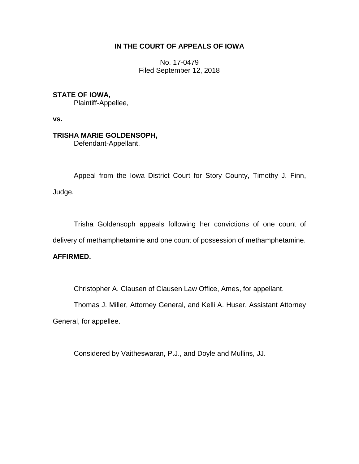## **IN THE COURT OF APPEALS OF IOWA**

No. 17-0479 Filed September 12, 2018

**STATE OF IOWA,**

Plaintiff-Appellee,

**vs.**

# **TRISHA MARIE GOLDENSOPH,**

Defendant-Appellant.

Appeal from the Iowa District Court for Story County, Timothy J. Finn, Judge.

\_\_\_\_\_\_\_\_\_\_\_\_\_\_\_\_\_\_\_\_\_\_\_\_\_\_\_\_\_\_\_\_\_\_\_\_\_\_\_\_\_\_\_\_\_\_\_\_\_\_\_\_\_\_\_\_\_\_\_\_\_\_\_\_

Trisha Goldensoph appeals following her convictions of one count of delivery of methamphetamine and one count of possession of methamphetamine.

# **AFFIRMED.**

Christopher A. Clausen of Clausen Law Office, Ames, for appellant.

Thomas J. Miller, Attorney General, and Kelli A. Huser, Assistant Attorney

General, for appellee.

Considered by Vaitheswaran, P.J., and Doyle and Mullins, JJ.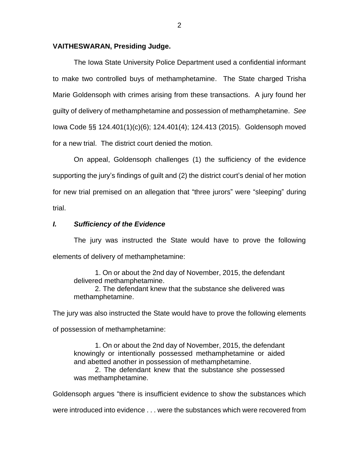#### **VAITHESWARAN, Presiding Judge.**

The Iowa State University Police Department used a confidential informant to make two controlled buys of methamphetamine. The State charged Trisha Marie Goldensoph with crimes arising from these transactions. A jury found her guilty of delivery of methamphetamine and possession of methamphetamine. *See* Iowa Code §§ 124.401(1)(c)(6); 124.401(4); 124.413 (2015). Goldensoph moved for a new trial. The district court denied the motion.

On appeal, Goldensoph challenges (1) the sufficiency of the evidence supporting the jury's findings of guilt and (2) the district court's denial of her motion for new trial premised on an allegation that "three jurors" were "sleeping" during trial.

## *I. Sufficiency of the Evidence*

The jury was instructed the State would have to prove the following elements of delivery of methamphetamine:

1. On or about the 2nd day of November, 2015, the defendant delivered methamphetamine.

2. The defendant knew that the substance she delivered was methamphetamine.

The jury was also instructed the State would have to prove the following elements

of possession of methamphetamine:

1. On or about the 2nd day of November, 2015, the defendant knowingly or intentionally possessed methamphetamine or aided and abetted another in possession of methamphetamine.

2. The defendant knew that the substance she possessed was methamphetamine.

Goldensoph argues "there is insufficient evidence to show the substances which

were introduced into evidence . . . were the substances which were recovered from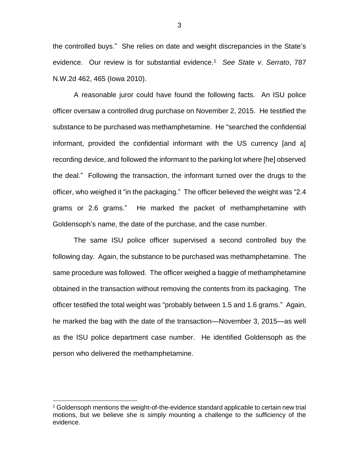the controlled buys." She relies on date and weight discrepancies in the State's evidence. Our review is for substantial evidence.<sup>1</sup> *See State v*. *Serrato*, 787 N.W.2d 462, 465 (Iowa 2010).

A reasonable juror could have found the following facts. An ISU police officer oversaw a controlled drug purchase on November 2, 2015. He testified the substance to be purchased was methamphetamine. He "searched the confidential informant, provided the confidential informant with the US currency [and a] recording device, and followed the informant to the parking lot where [he] observed the deal." Following the transaction, the informant turned over the drugs to the officer, who weighed it "in the packaging." The officer believed the weight was "2.4 grams or 2.6 grams." He marked the packet of methamphetamine with Goldensoph's name, the date of the purchase, and the case number.

The same ISU police officer supervised a second controlled buy the following day. Again, the substance to be purchased was methamphetamine. The same procedure was followed. The officer weighed a baggie of methamphetamine obtained in the transaction without removing the contents from its packaging. The officer testified the total weight was "probably between 1.5 and 1.6 grams." Again, he marked the bag with the date of the transaction—November 3, 2015—as well as the ISU police department case number. He identified Goldensoph as the person who delivered the methamphetamine.

 $\overline{a}$ 

3

 $1$  Goldensoph mentions the weight-of-the-evidence standard applicable to certain new trial motions, but we believe she is simply mounting a challenge to the sufficiency of the evidence.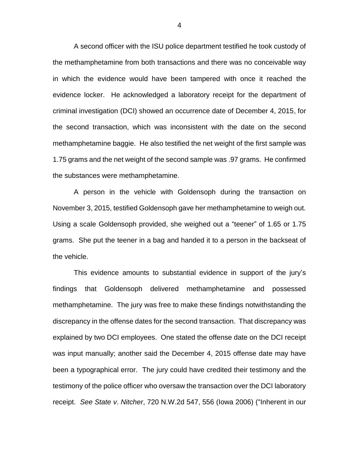A second officer with the ISU police department testified he took custody of the methamphetamine from both transactions and there was no conceivable way in which the evidence would have been tampered with once it reached the evidence locker. He acknowledged a laboratory receipt for the department of criminal investigation (DCI) showed an occurrence date of December 4, 2015, for the second transaction, which was inconsistent with the date on the second methamphetamine baggie. He also testified the net weight of the first sample was 1.75 grams and the net weight of the second sample was .97 grams. He confirmed the substances were methamphetamine.

A person in the vehicle with Goldensoph during the transaction on November 3, 2015, testified Goldensoph gave her methamphetamine to weigh out. Using a scale Goldensoph provided, she weighed out a "teener" of 1.65 or 1.75 grams. She put the teener in a bag and handed it to a person in the backseat of the vehicle.

This evidence amounts to substantial evidence in support of the jury's findings that Goldensoph delivered methamphetamine and possessed methamphetamine. The jury was free to make these findings notwithstanding the discrepancy in the offense dates for the second transaction. That discrepancy was explained by two DCI employees. One stated the offense date on the DCI receipt was input manually; another said the December 4, 2015 offense date may have been a typographical error. The jury could have credited their testimony and the testimony of the police officer who oversaw the transaction over the DCI laboratory receipt. *See State v*. *Nitcher*, 720 N.W.2d 547, 556 (Iowa 2006) ("Inherent in our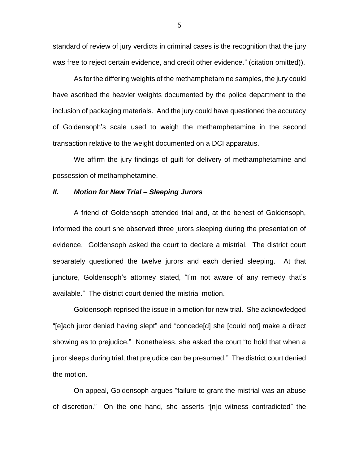standard of review of jury verdicts in criminal cases is the recognition that the jury was free to reject certain evidence, and credit other evidence." (citation omitted)).

As for the differing weights of the methamphetamine samples, the jury could have ascribed the heavier weights documented by the police department to the inclusion of packaging materials. And the jury could have questioned the accuracy of Goldensoph's scale used to weigh the methamphetamine in the second transaction relative to the weight documented on a DCI apparatus.

We affirm the jury findings of guilt for delivery of methamphetamine and possession of methamphetamine.

## *II. Motion for New Trial – Sleeping Jurors*

A friend of Goldensoph attended trial and, at the behest of Goldensoph, informed the court she observed three jurors sleeping during the presentation of evidence. Goldensoph asked the court to declare a mistrial. The district court separately questioned the twelve jurors and each denied sleeping. At that juncture, Goldensoph's attorney stated, "I'm not aware of any remedy that's available." The district court denied the mistrial motion.

Goldensoph reprised the issue in a motion for new trial. She acknowledged "[e]ach juror denied having slept" and "concede[d] she [could not] make a direct showing as to prejudice." Nonetheless, she asked the court "to hold that when a juror sleeps during trial, that prejudice can be presumed." The district court denied the motion.

On appeal, Goldensoph argues "failure to grant the mistrial was an abuse of discretion." On the one hand, she asserts "[n]o witness contradicted" the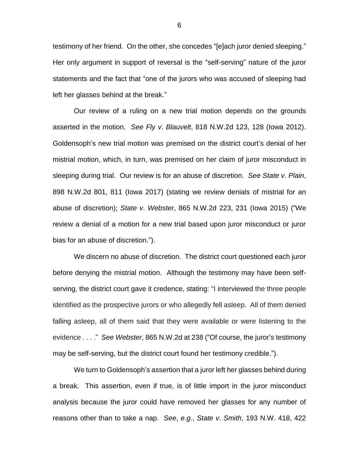testimony of her friend. On the other, she concedes "[e]ach juror denied sleeping." Her only argument in support of reversal is the "self-serving" nature of the juror statements and the fact that "one of the jurors who was accused of sleeping had left her glasses behind at the break."

Our review of a ruling on a new trial motion depends on the grounds asserted in the motion. *See Fly v*. *Blauvelt*, 818 N.W.2d 123, 128 (Iowa 2012). Goldensoph's new trial motion was premised on the district court's denial of her mistrial motion, which, in turn, was premised on her claim of juror misconduct in sleeping during trial. Our review is for an abuse of discretion. *See State v*. *Plain*, 898 N.W.2d 801, 811 (Iowa 2017) (stating we review denials of mistrial for an abuse of discretion); *State v*. *Webster*, 865 N.W.2d 223, 231 (Iowa 2015) ("We review a denial of a motion for a new trial based upon juror misconduct or juror bias for an abuse of discretion.").

We discern no abuse of discretion. The district court questioned each juror before denying the mistrial motion. Although the testimony may have been selfserving, the district court gave it credence, stating: "I interviewed the three people identified as the prospective jurors or who allegedly fell asleep. All of them denied falling asleep, all of them said that they were available or were listening to the evidence . . . ." *See Webster*, 865 N.W.2d at 238 ("Of course, the juror's testimony may be self-serving, but the district court found her testimony credible.").

We turn to Goldensoph's assertion that a juror left her glasses behind during a break. This assertion, even if true, is of little import in the juror misconduct analysis because the juror could have removed her glasses for any number of reasons other than to take a nap. *See*, *e*.*g*., *State v*. *Smith*, 193 N.W. 418, 422

6